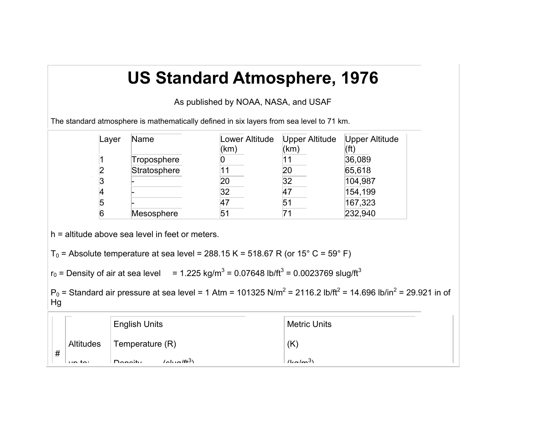## **US Standard Atmosphere, 1976**

As published by NOAA, NASA, and USAF

The standard atmosphere is mathematically defined in six layers from sea level to 71 km.

| Layer | Name         | Lower Altitude | Upper Altitude | <b>Upper Altitude</b> |
|-------|--------------|----------------|----------------|-----------------------|
|       |              | (km)           | (km)           |                       |
|       | Troposphere  |                |                | 36,089                |
|       | Stratosphere |                | 20             | 65,618                |
| З     |              | 20             | 32             | 104,987               |
|       |              | 32             | 47             | 154,199               |
| 5     |              |                | 51             | 167,323               |
| 6     | Mesosphere   | 51             |                | 232,940               |

h = altitude above sea level in feet or meters.

```
T_0 = Absolute temperature at sea level = 288.15 K = 518.67 R (or 15° C = 59° F)
```

```
r_0 = Density of air at sea level r_0 = 1.225 kg/m<sup>3</sup> = 0.07648 lb/ft<sup>3</sup> = 0.0023769 slug/ft<sup>3</sup>
```

```
P<sub>0</sub> = Standard air pressure at sea level = 1 Atm = 101325 N/m<sup>2</sup> = 2116.2 lb/ft<sup>2</sup> = 14.696 lb/in<sup>2</sup> = 29.921 in of
Hg
```

|   |           | <b>English Units</b> | <b>Metric Units</b> |
|---|-----------|----------------------|---------------------|
| # | Altitudes | Temperature (R)      | (K                  |
|   | $\cdots$  | (21.21)<br>D         | $lcm^3$             |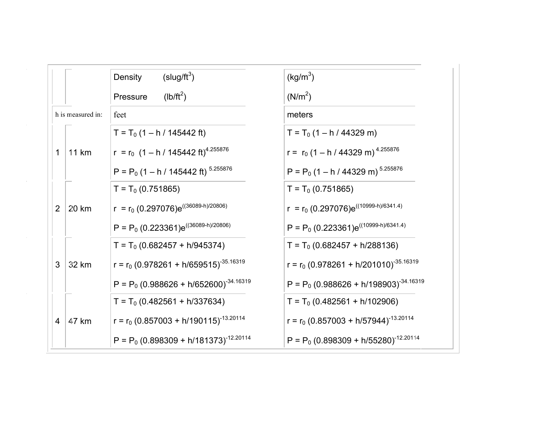|                   | $(s\log/\text{ft}^3)$<br>Density                  | (kg/m <sup>3</sup> )                        |
|-------------------|---------------------------------------------------|---------------------------------------------|
|                   | $(lb/ft^2)$<br>Pressure                           | (N/m <sup>2</sup> )                         |
| h is measured in: | feet                                              | meters                                      |
|                   | $T = T_0 (1 - h / 145442 ft)$                     | $T = T_0 (1 - h / 44329 m)$                 |
| 11 km<br>1        | $r = r_0 (1 - h / 145442 ft)^{4.255876}$          | $r = r_0 (1 - h / 44329 m)^{4.255876}$      |
|                   | P = $P_0$ (1 – h / 145442 ft) <sup>5.255876</sup> | $P = P_0 (1 - h / 44329 m)^{5.255876}$      |
|                   | $T = T_0 (0.751865)$                              | $T = T_0 (0.751865)$                        |
| 20 km<br>2        | $r = r_0 (0.297076)e^{((36089-h)/20806)}$         | $r = r_0 (0.297076)e^{((10999-h)/6341.4)}$  |
|                   | $P = P_0 (0.223361)e^{((36089-h)/20806)}$         | $P = P_0 (0.223361)e^{((10999-h)/6341.4)}$  |
|                   | $T = T_0 (0.682457 + h/945374)$                   | $T = T_0 (0.682457 + h/288136)$             |
| 32 km<br>3        | $r = r_0 (0.978261 + h/659515)^{-35.16319}$       | $r = r_0 (0.978261 + h/201010)^{-35.16319}$ |
|                   | $P = P_0 (0.988626 + h/652600)^{-34.16319}$       | $P = P_0 (0.988626 + h/198903)^{-34.16319}$ |
|                   | $T = T_0 (0.482561 + h/337634)$                   | $T = T_0 (0.482561 + h/102906)$             |
| 47 km<br>4        | $r = r_0 (0.857003 + h/190115)^{-13.20114}$       | $r = r_0 (0.857003 + h/57944)^{-13.20114}$  |
|                   | $P = P_0 (0.898309 + h/181373)^{-12.20114}$       | $P = P_0 (0.898309 + h/55280)^{-12.20114}$  |